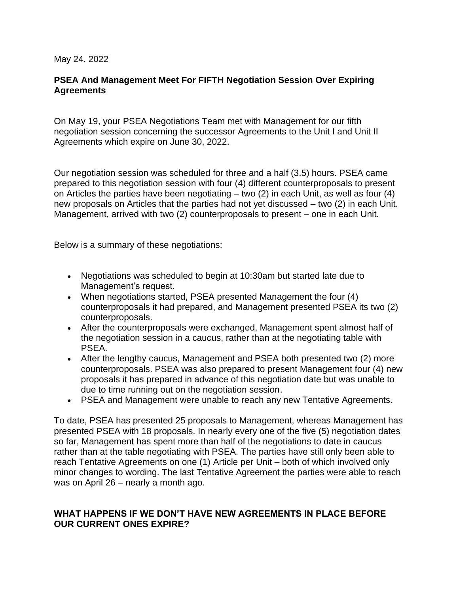May 24, 2022

## **PSEA And Management Meet For FIFTH Negotiation Session Over Expiring Agreements**

On May 19, your PSEA Negotiations Team met with Management for our fifth negotiation session concerning the successor Agreements to the Unit I and Unit II Agreements which expire on June 30, 2022.

Our negotiation session was scheduled for three and a half (3.5) hours. PSEA came prepared to this negotiation session with four (4) different counterproposals to present on Articles the parties have been negotiating – two (2) in each Unit, as well as four (4) new proposals on Articles that the parties had not yet discussed – two (2) in each Unit. Management, arrived with two (2) counterproposals to present – one in each Unit.

Below is a summary of these negotiations:

- Negotiations was scheduled to begin at 10:30am but started late due to Management's request.
- When negotiations started, PSEA presented Management the four (4) counterproposals it had prepared, and Management presented PSEA its two (2) counterproposals.
- After the counterproposals were exchanged, Management spent almost half of the negotiation session in a caucus, rather than at the negotiating table with PSEA.
- After the lengthy caucus, Management and PSEA both presented two (2) more counterproposals. PSEA was also prepared to present Management four (4) new proposals it has prepared in advance of this negotiation date but was unable to due to time running out on the negotiation session.
- PSEA and Management were unable to reach any new Tentative Agreements.

To date, PSEA has presented 25 proposals to Management, whereas Management has presented PSEA with 18 proposals. In nearly every one of the five (5) negotiation dates so far, Management has spent more than half of the negotiations to date in caucus rather than at the table negotiating with PSEA. The parties have still only been able to reach Tentative Agreements on one (1) Article per Unit – both of which involved only minor changes to wording. The last Tentative Agreement the parties were able to reach was on April 26 – nearly a month ago.

## **WHAT HAPPENS IF WE DON'T HAVE NEW AGREEMENTS IN PLACE BEFORE OUR CURRENT ONES EXPIRE?**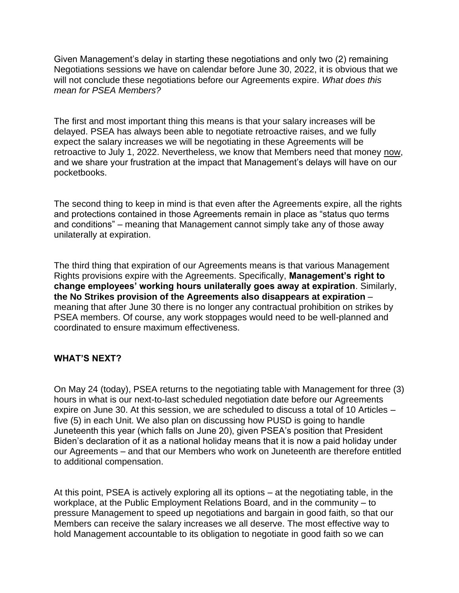Given Management's delay in starting these negotiations and only two (2) remaining Negotiations sessions we have on calendar before June 30, 2022, it is obvious that we will not conclude these negotiations before our Agreements expire. *What does this mean for PSEA Members?*

The first and most important thing this means is that your salary increases will be delayed. PSEA has always been able to negotiate retroactive raises, and we fully expect the salary increases we will be negotiating in these Agreements will be retroactive to July 1, 2022. Nevertheless, we know that Members need that money now, and we share your frustration at the impact that Management's delays will have on our pocketbooks.

The second thing to keep in mind is that even after the Agreements expire, all the rights and protections contained in those Agreements remain in place as "status quo terms and conditions" – meaning that Management cannot simply take any of those away unilaterally at expiration.

The third thing that expiration of our Agreements means is that various Management Rights provisions expire with the Agreements. Specifically, **Management's right to change employees' working hours unilaterally goes away at expiration**. Similarly, **the No Strikes provision of the Agreements also disappears at expiration** – meaning that after June 30 there is no longer any contractual prohibition on strikes by PSEA members. Of course, any work stoppages would need to be well-planned and coordinated to ensure maximum effectiveness.

## **WHAT'S NEXT?**

On May 24 (today), PSEA returns to the negotiating table with Management for three (3) hours in what is our next-to-last scheduled negotiation date before our Agreements expire on June 30. At this session, we are scheduled to discuss a total of 10 Articles – five (5) in each Unit. We also plan on discussing how PUSD is going to handle Juneteenth this year (which falls on June 20), given PSEA's position that President Biden's declaration of it as a national holiday means that it is now a paid holiday under our Agreements – and that our Members who work on Juneteenth are therefore entitled to additional compensation.

At this point, PSEA is actively exploring all its options – at the negotiating table, in the workplace, at the Public Employment Relations Board, and in the community – to pressure Management to speed up negotiations and bargain in good faith, so that our Members can receive the salary increases we all deserve. The most effective way to hold Management accountable to its obligation to negotiate in good faith so we can